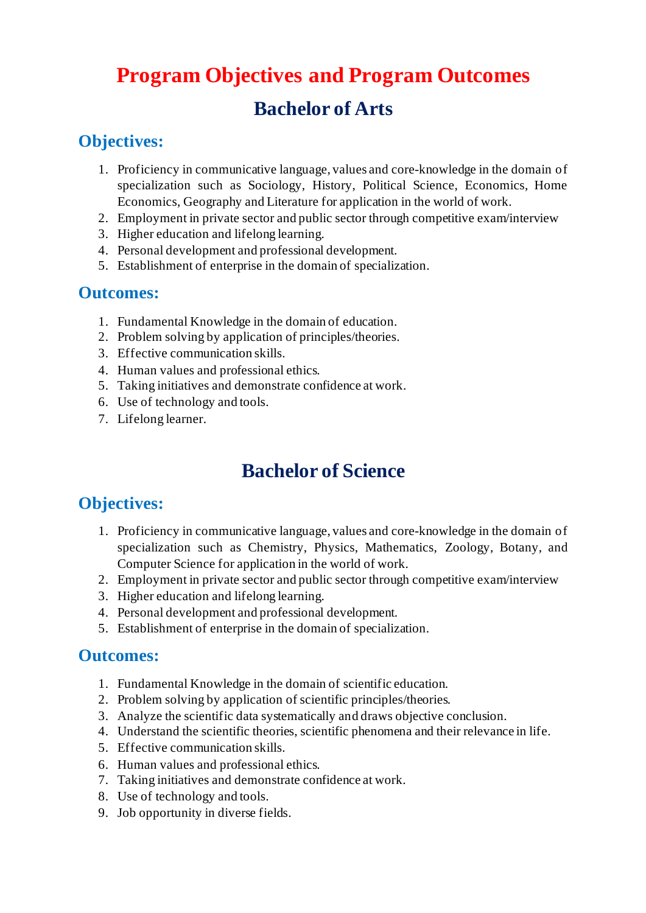# **Program Objectives and Program Outcomes Bachelor of Arts**

### **Objectives:**

- 1. Proficiency in communicative language, values and core-knowledge in the domain of specialization such as Sociology, History, Political Science, Economics, Home Economics, Geography and Literature for application in the world of work.
- 2. Employment in private sector and public sector through competitive exam/interview
- 3. Higher education and lifelong learning.
- 4. Personal development and professional development.
- 5. Establishment of enterprise in the domain of specialization.

#### **Outcomes:**

- 1. Fundamental Knowledge in the domain of education.
- 2. Problem solving by application of principles/theories.
- 3. Effective communication skills.
- 4. Human values and professional ethics.
- 5. Taking initiatives and demonstrate confidence at work.
- 6. Use of technology and tools.
- 7. Lifelong learner.

# **Bachelor of Science**

### **Objectives:**

- 1. Proficiency in communicative language, values and core-knowledge in the domain of specialization such as Chemistry, Physics, Mathematics, Zoology, Botany, and Computer Science for application in the world of work.
- 2. Employment in private sector and public sector through competitive exam/interview
- 3. Higher education and lifelong learning.
- 4. Personal development and professional development.
- 5. Establishment of enterprise in the domain of specialization.

#### **Outcomes:**

- 1. Fundamental Knowledge in the domain of scientific education.
- 2. Problem solving by application of scientific principles/theories.
- 3. Analyze the scientific data systematically and draws objective conclusion.
- 4. Understand the scientific theories, scientific phenomena and their relevance in life.
- 5. Effective communication skills.
- 6. Human values and professional ethics.
- 7. Taking initiatives and demonstrate confidence at work.
- 8. Use of technology and tools.
- 9. Job opportunity in diverse fields.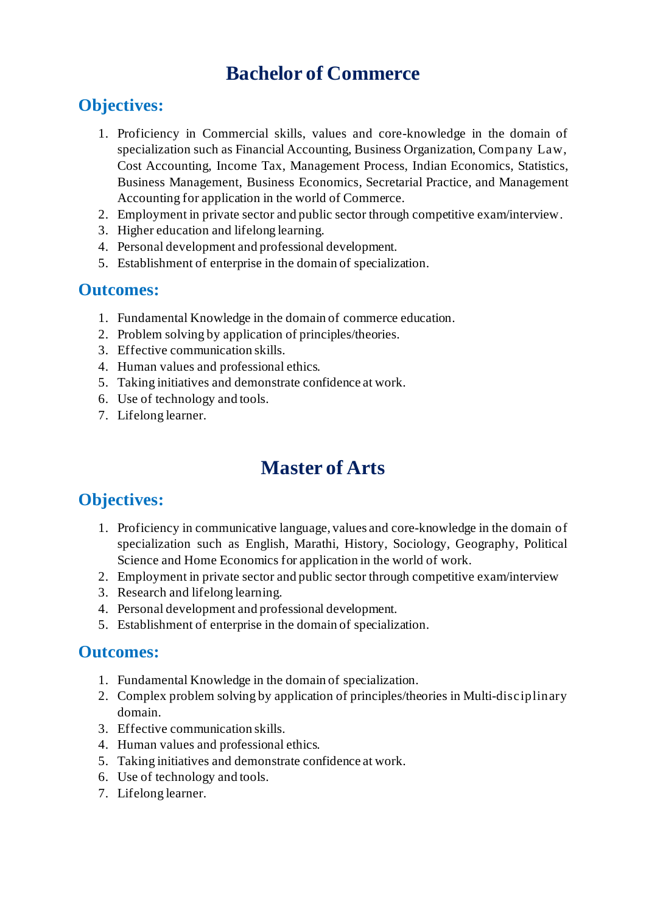## **Bachelor of Commerce**

### **Objectives:**

- 1. Proficiency in Commercial skills, values and core-knowledge in the domain of specialization such as Financial Accounting, Business Organization, Company Law, Cost Accounting, Income Tax, Management Process, Indian Economics, Statistics, Business Management, Business Economics, Secretarial Practice, and Management Accounting for application in the world of Commerce.
- 2. Employment in private sector and public sector through competitive exam/interview.
- 3. Higher education and lifelong learning.
- 4. Personal development and professional development.
- 5. Establishment of enterprise in the domain of specialization.

#### **Outcomes:**

- 1. Fundamental Knowledge in the domain of commerce education.
- 2. Problem solving by application of principles/theories.
- 3. Effective communication skills.
- 4. Human values and professional ethics.
- 5. Taking initiatives and demonstrate confidence at work.
- 6. Use of technology and tools.
- 7. Lifelong learner.

# **Master of Arts**

### **Objectives:**

- 1. Proficiency in communicative language, values and core-knowledge in the domain of specialization such as English, Marathi, History, Sociology, Geography, Political Science and Home Economics for application in the world of work.
- 2. Employment in private sector and public sector through competitive exam/interview
- 3. Research and lifelong learning.
- 4. Personal development and professional development.
- 5. Establishment of enterprise in the domain of specialization.

#### **Outcomes:**

- 1. Fundamental Knowledge in the domain of specialization.
- 2. Complex problem solving by application of principles/theories in Multi-disciplinary domain.
- 3. Effective communication skills.
- 4. Human values and professional ethics.
- 5. Taking initiatives and demonstrate confidence at work.
- 6. Use of technology and tools.
- 7. Lifelong learner.